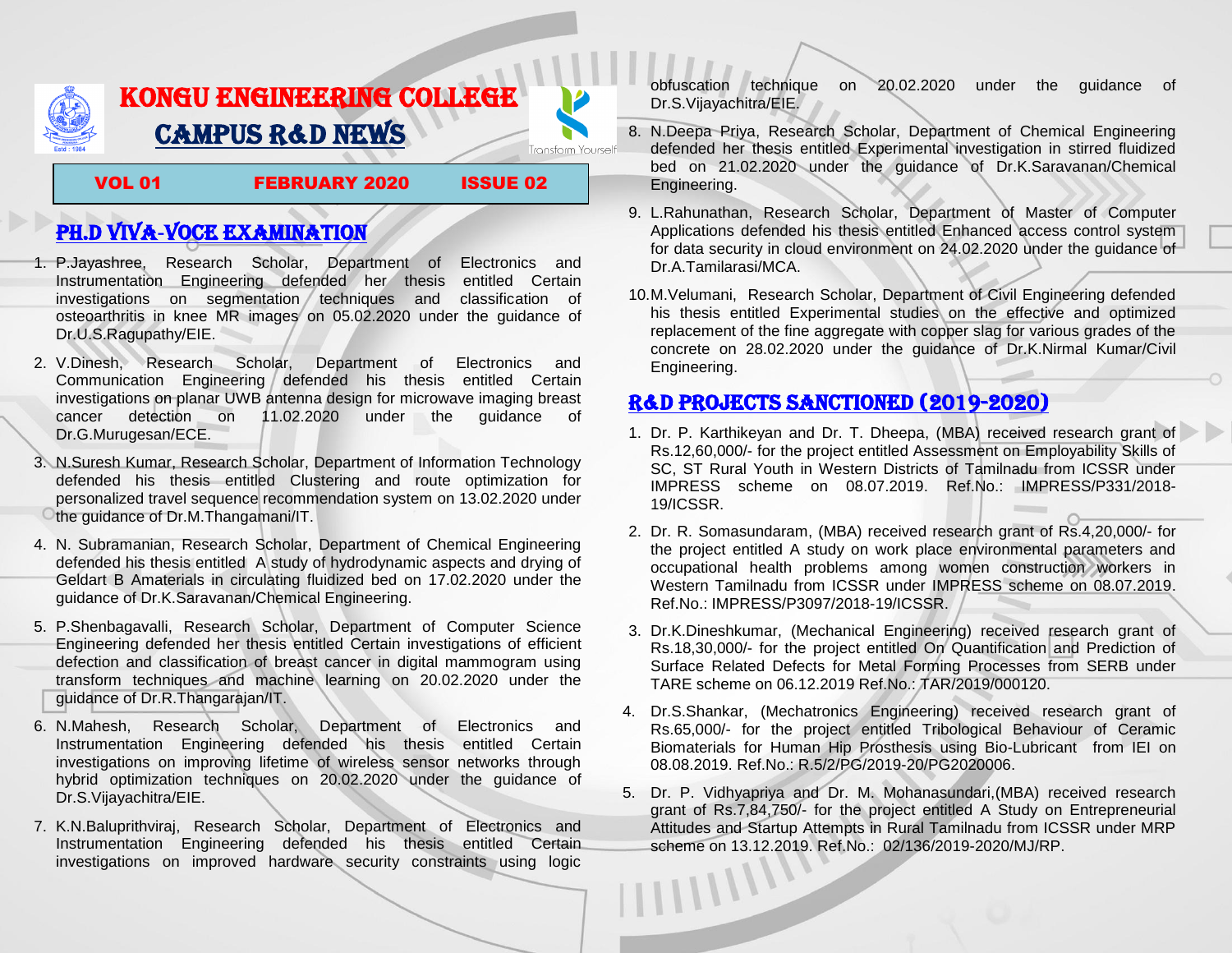

## KONGU ENGINEERING COLLEGE CAMPUS R&D NEWS **Transform Yourself**

VOL 01 FEBRUARY 2020 ISSUE 02

# PH.D VIVA-VOCE EXAMINATION

- 1. P.Jayashree, Research Scholar, Department of Electronics and Instrumentation Engineering defended her thesis entitled Certain investigations on segmentation techniques and classification of osteoarthritis in knee MR images on 05.02.2020 under the guidance of Dr.U.S.Ragupathy/EIE.
- 2. V.Dinesh, Research Scholar, Department of Electronics and Communication Engineering defended his thesis entitled Certain investigations on planar UWB antenna design for microwave imaging breast cancer detection on 11.02.2020 under the guidance of Dr.G.Murugesan/ECE.
- 3. N.Suresh Kumar, Research Scholar, Department of Information Technology defended his thesis entitled Clustering and route optimization for personalized travel sequence recommendation system on 13.02.2020 under the guidance of Dr.M.Thangamani/IT.
- 4. N. Subramanian, Research Scholar, Department of Chemical Engineering defended his thesis entitled A study of hydrodynamic aspects and drying of Geldart B Amaterials in circulating fluidized bed on 17.02.2020 under the guidance of Dr.K.Saravanan/Chemical Engineering.
- 5. P.Shenbagavalli, Research Scholar, Department of Computer Science Engineering defended her thesis entitled Certain investigations of efficient defection and classification of breast cancer in digital mammogram using transform techniques and machine learning on 20.02.2020 under the guidance of Dr.R.Thangarajan/IT.
- 6. N.Mahesh, Research Scholar, Department of Electronics and Instrumentation Engineering defended his thesis entitled Certain investigations on improving lifetime of wireless sensor networks through hybrid optimization techniques on 20.02.2020 under the guidance of Dr.S.Vijayachitra/EIE.
- 7. K.N.Baluprithviraj, Research Scholar, Department of Electronics and Instrumentation Engineering defended his thesis entitled Certain investigations on improved hardware security constraints using logic

obfuscation technique on 20.02.2020 under the guidance of Dr.S.Vijayachitra/EIE.

- 8. N.Deepa Priya, Research Scholar, Department of Chemical Engineering defended her thesis entitled Experimental investigation in stirred fluidized bed on 21.02.2020 under the guidance of Dr.K.Saravanan/Chemical Engineering.
- 9. L.Rahunathan, Research Scholar, Department of Master of Computer Applications defended his thesis entitled Enhanced access control system for data security in cloud environment on 24.02.2020 under the guidance of Dr.A.Tamilarasi/MCA.
- 10.M.Velumani, Research Scholar, Department of Civil Engineering defended his thesis entitled Experimental studies on the effective and optimized replacement of the fine aggregate with copper slag for various grades of the concrete on 28.02.2020 under the guidance of Dr.K.Nirmal Kumar/Civil Engineering.

## R&D PROJECTS SANCTIONED (2019-2020)

- 1. Dr. P. Karthikeyan and Dr. T. Dheepa, (MBA) received research grant of Rs.12,60,000/- for the project entitled Assessment on Employability Skills of SC, ST Rural Youth in Western Districts of Tamilnadu from ICSSR under IMPRESS scheme on 08.07.2019. Ref.No.: IMPRESS/P331/2018- 19/ICSSR.
- 2. Dr. R. Somasundaram, (MBA) received research grant of Rs.4,20,000/- for the project entitled A study on work place environmental parameters and occupational health problems among women construction workers in Western Tamilnadu from ICSSR under IMPRESS scheme on 08.07.2019. Ref.No.: IMPRESS/P3097/2018-19/ICSSR.
- 3. Dr.K.Dineshkumar, (Mechanical Engineering) received research grant of Rs.18,30,000/- for the project entitled On Quantification and Prediction of Surface Related Defects for Metal Forming Processes from SERB under TARE scheme on 06.12.2019 Ref.No.: TAR/2019/000120.
- 4. Dr.S.Shankar, (Mechatronics Engineering) received research grant of Rs.65,000/- for the project entitled Tribological Behaviour of Ceramic Biomaterials for Human Hip Prosthesis using Bio-Lubricant from IEI on 08.08.2019. Ref.No.: R.5/2/PG/2019-20/PG2020006.
- 5. Dr. P. Vidhyapriya and Dr. M. Mohanasundari,(MBA) received research grant of Rs.7,84,750/- for the project entitled A Study on Entrepreneurial Attitudes and Startup Attempts in Rural Tamilnadu from ICSSR under MRP scheme on 13.12.2019. Ref.No.: 02/136/2019-2020/MJ/RP.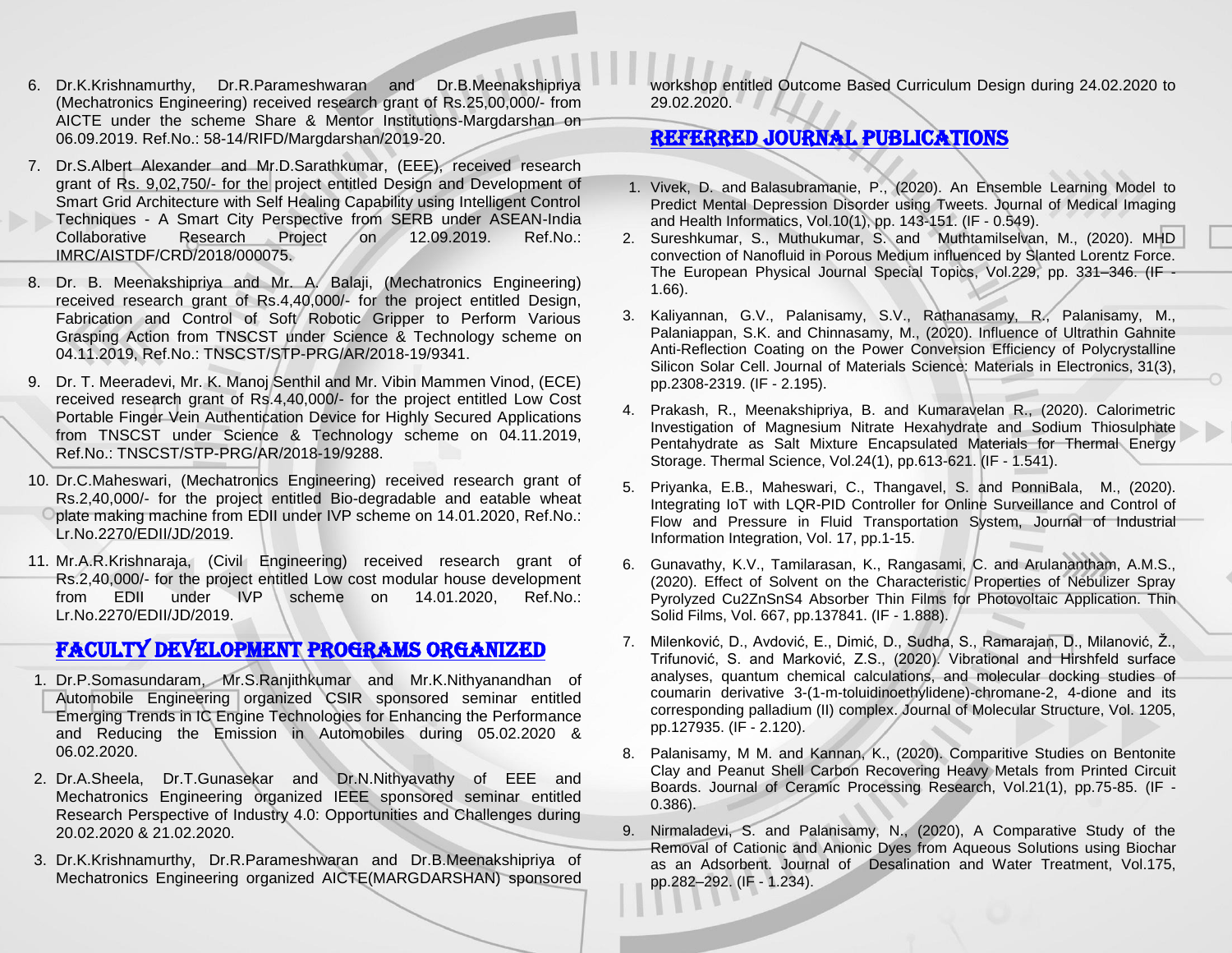- 6. Dr.K.Krishnamurthy, Dr.R.Parameshwaran and Dr.B.Meenakshipriya (Mechatronics Engineering) received research grant of Rs.25,00,000/- from AICTE under the scheme Share & Mentor Institutions-Margdarshan on 06.09.2019. Ref.No.: 58-14/RIFD/Margdarshan/2019-20.
- 7. Dr.S.Albert Alexander and Mr.D.Sarathkumar, (EEE), received research grant of Rs. 9,02,750/- for the project entitled Design and Development of Smart Grid Architecture with Self Healing Capability using Intelligent Control Techniques - A Smart City Perspective from SERB under ASEAN-India Collaborative Research Project on 12.09.2019. Ref.No.: IMRC/AISTDF/CRD/2018/000075.
- 8. Dr. B. Meenakshipriya and Mr. A. Balaji, (Mechatronics Engineering) received research grant of Rs.4,40,000/- for the project entitled Design, Fabrication and Control of Soft Robotic Gripper to Perform Various Grasping Action from TNSCST under Science & Technology scheme on 04.11.2019, Ref.No.: TNSCST/STP-PRG/AR/2018-19/9341.
- 9. Dr. T. Meeradevi, Mr. K. Manoj Senthil and Mr. Vibin Mammen Vinod, (ECE) received research grant of Rs.4,40,000/- for the project entitled Low Cost Portable Finger Vein Authentication Device for Highly Secured Applications from TNSCST under Science & Technology scheme on 04.11.2019, Ref.No.: TNSCST/STP-PRG/AR/2018-19/9288.
- 10. Dr.C.Maheswari, (Mechatronics Engineering) received research grant of Rs.2,40,000/- for the project entitled Bio-degradable and eatable wheat plate making machine from EDII under IVP scheme on 14.01.2020, Ref.No.: Lr.No.2270/EDII/JD/2019.
- 11. Mr.A.R.Krishnaraja, (Civil Engineering) received research grant of Rs.2,40,000/- for the project entitled Low cost modular house development from EDII under IVP scheme on 14.01.2020, Ref.No.: Lr.No.2270/EDII/JD/2019.

#### Faculty development programs organized

- 1. Dr.P.Somasundaram, Mr.S.Ranjithkumar and Mr.K.Nithyanandhan of Automobile Engineering organized CSIR sponsored seminar entitled Emerging Trends in IC Engine Technologies for Enhancing the Performance and Reducing the Emission in Automobiles during 05.02.2020 & 06.02.2020.
- 2. Dr.A.Sheela, Dr.T.Gunasekar and Dr.N.Nithyavathy of EEE and Mechatronics Engineering organized IEEE sponsored seminar entitled Research Perspective of Industry 4.0: Opportunities and Challenges during 20.02.2020 & 21.02.2020.
- 3. Dr.K.Krishnamurthy, Dr.R.Parameshwaran and Dr.B.Meenakshipriya of Mechatronics Engineering organized AICTE(MARGDARSHAN) sponsored

workshop entitled Outcome Based Curriculum Design during 24.02.2020 to 29.02.2020.

#### Referred JOURNAL publications

l

- 1. [Vivek, D.](https://www.ingentaconnect.com/search;jsessionid=2lni49kwol90j.x-ic-live-03?option2=author&value2=Vivek,+D.) and [Balasubramanie, P.,](https://www.ingentaconnect.com/search;jsessionid=2lni49kwol90j.x-ic-live-03?option2=author&value2=Balasubramanie,+P.) (2020). An Ensemble Learning Model to Predict Mental Depression Disorder using Tweets. [Journal of Medical Imaging](https://www.ingentaconnect.com/content/asp/jmihi;jsessionid=2lni49kwol90j.x-ic-live-03)  [and Health Informatics,](https://www.ingentaconnect.com/content/asp/jmihi;jsessionid=2lni49kwol90j.x-ic-live-03) Vol.10(1), pp. 143-151. (IF - 0.549).
- 2. Sureshkumar, S., Muthukumar, S. and Muthtamilselvan, M., (2020). MHD convection of Nanofluid in Porous Medium influenced by Slanted Lorentz Force. [The European Physical Journal Special Topics,](https://link.springer.com/journal/11734) Vol.229, pp. 331–346. (IF - 1.66).
- 3. Kaliyannan, G.V., Palanisamy, S.V., Rathanasamy, R., Palanisamy, M., Palaniappan, S.K. and Chinnasamy, M., (2020). Influence of Ultrathin Gahnite Anti-Reflection Coating on the Power Conversion Efficiency of Polycrystalline Silicon Solar Cell. Journal of Materials Science: Materials in Electronics, 31(3), pp.2308-2319. (IF - 2.195).
- 4. Prakash, R., Meenakshipriya, B. and Kumaravelan R., (2020). Calorimetric Investigation of Magnesium Nitrate Hexahydrate and Sodium Thiosulphate Pentahydrate as Salt Mixture Encapsulated Materials for Thermal Energy Storage. Thermal Science, Vol.24(1), pp.613-621. (IF - 1.541).
- 5. [Priyanka, E](https://www.sciencedirect.com/science/article/pii/S2452414X20300030?via%3Dihub#!).B., [Maheswari, C](https://www.sciencedirect.com/science/article/pii/S2452414X20300030?via%3Dihub#!)., [Thangavel, S. and PonniBala,](https://www.sciencedirect.com/science/article/pii/S2452414X20300030?via%3Dihub#!) M., (2020). Integrating IoT with LQR-PID Controller for Online Surveillance and Control of Flow and Pressure in Fluid Transportation System, [Journal of Industrial](https://www.sciencedirect.com/science/journal/2452414X)  [Information Integration,](https://www.sciencedirect.com/science/journal/2452414X) [Vol. 17,](https://www.sciencedirect.com/science/journal/2452414X/17/supp/C) pp.1-15.
- 6. Gunavathy, K.V., Tamilarasan, K., Rangasami, C. and Arulanantham, A.M.S., (2020). Effect of Solvent on the Characteristic Properties of Nebulizer Spray Pyrolyzed Cu2ZnSnS4 Absorber Thin Films for Photovoltaic Application. Thin Solid Films, Vol. 667, pp.137841. (IF - 1.888).
- 7. Milenković, D., Avdović, E., Dimić, D., Sudha, S., Ramarajan, D., Milanović, Ž., Trifunović, S. and Marković, Z.S., (2020). Vibrational and Hirshfeld surface analyses, quantum chemical calculations, and molecular docking studies of coumarin derivative 3-(1-m-toluidinoethylidene)-chromane-2, 4-dione and its corresponding palladium (II) complex. Journal of Molecular Structure, Vol. 1205, pp.127935. (IF - 2.120).
- 8. Palanisamy, M M. and Kannan, K., (2020). Comparitive Studies on Bentonite Clay and Peanut Shell Carbon Recovering Heavy Metals from Printed Circuit Boards. Journal of Ceramic Processing Research, Vol.21(1), pp.75-85. (IF - 0.386).
- 9. Nirmaladevi, S. and Palanisamy, N., (2020), A Comparative Study of the Removal of Cationic and Anionic Dyes from Aqueous Solutions using Biochar as an Adsorbent. Journal of Desalination and Water Treatment, Vol.175, pp.282–292. (IF - 1.234).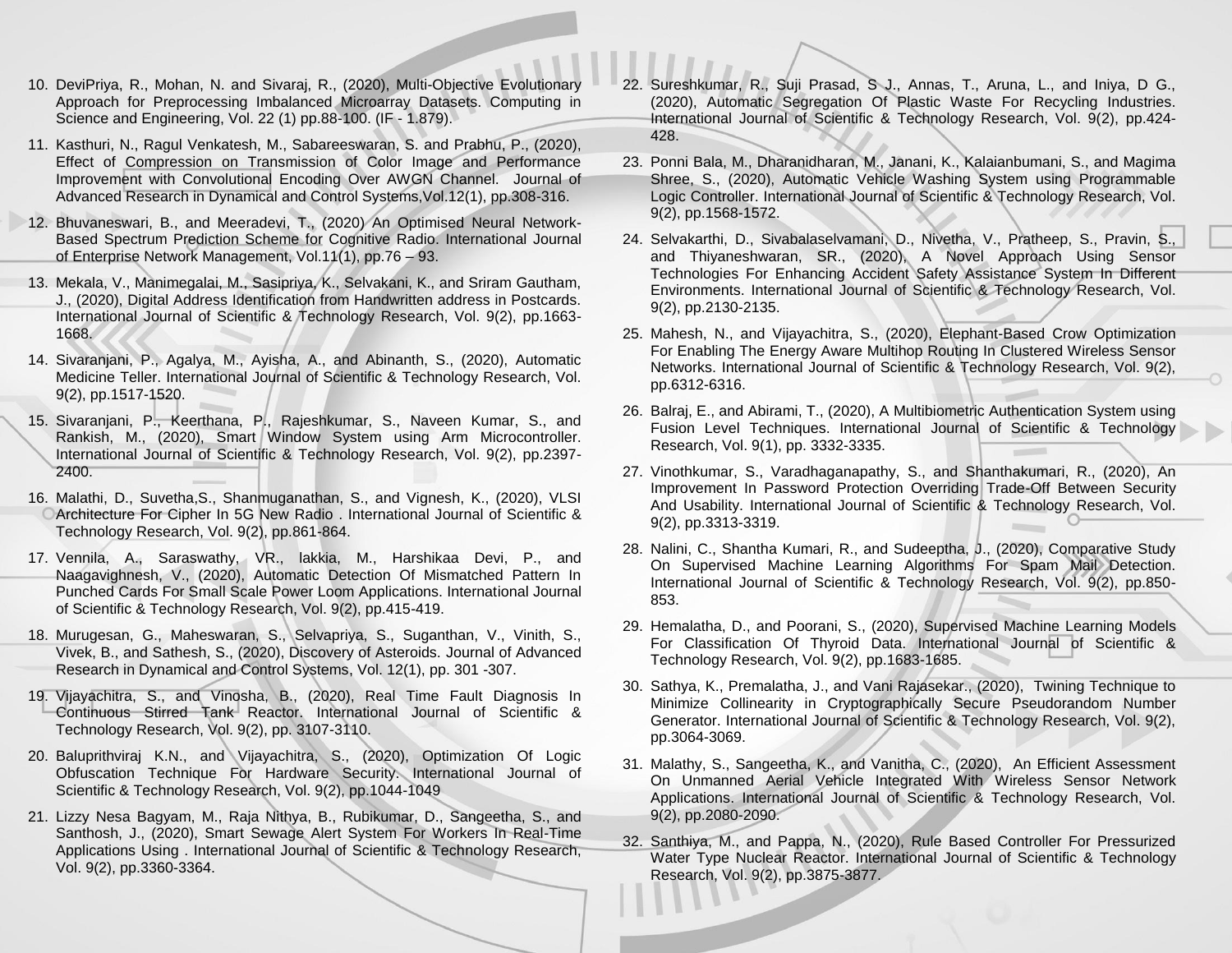- 10. DeviPriya, R., Mohan, N. and Sivaraj, R., (2020), Multi-Objective Evolutionary Approach for Preprocessing Imbalanced Microarray Datasets. Computing in Science and Engineering, Vol. 22 (1) pp.88-100. (IF - 1.879).
- 11. Kasthuri, N., Ragul Venkatesh, M., Sabareeswaran, S. and Prabhu, P., (2020), Effect of Compression on Transmission of Color Image and Performance Improvement with Convolutional Encoding Over AWGN Channel. Journal of Advanced Research in Dynamical and Control Systems,Vol.12(1), pp.308-316.
- 12. Bhuvaneswari, B., and Meeradevi, T., (2020) [An Optimised Neural Network-](https://www.inderscience.com/filter.php?aid=103914)[Based Spectrum Prediction Scheme for Cognitive Radio.](https://www.inderscience.com/filter.php?aid=103914) International Journal of Enterprise Network Management, Vol.11(1), pp.76 – 93.
- 13. Mekala, V., Manimegalai, M., Sasipriya, K., Selvakani, K., and Sriram Gautham, J., (2020), Digital Address Identification from Handwritten address in Postcards. International Journal of Scientific & Technology Research, Vol. 9(2), pp.1663- 1668.
- 14. Sivaranjani, P., Agalya, M., Ayisha, A., and Abinanth, S., (2020), Automatic Medicine Teller. International Journal of Scientific & Technology Research, Vol. 9(2), pp.1517-1520.
- 15. Sivaranjani, P., Keerthana, P., Rajeshkumar, S., Naveen Kumar, S., and Rankish, M., (2020), Smart Window System using Arm Microcontroller. International Journal of Scientific & Technology Research, Vol. 9(2), pp.2397- 2400.
- 16. Malathi, D., Suvetha,S., Shanmuganathan, S., and Vignesh, K., (2020), VLSI Architecture For Cipher In 5G New Radio . International Journal of Scientific & Technology Research, Vol. 9(2), pp.861-864.
- 17. Vennila, A., Saraswathy, VR., lakkia, M., Harshikaa Devi, P., and Naagavighnesh, V., (2020), Automatic Detection Of Mismatched Pattern In Punched Cards For Small Scale Power Loom Applications. International Journal of Scientific & Technology Research, Vol. 9(2), pp.415-419.
- 18. Murugesan, G., Maheswaran, S., Selvapriya, S., Suganthan, V., Vinith, S., Vivek, B., and Sathesh, S., (2020), Discovery of Asteroids. [Journal of Advanced](https://www.scopus.com/sourceid/20500195215?origin=recordpage)  [Research in Dynamical and Control Systems,](https://www.scopus.com/sourceid/20500195215?origin=recordpage) Vol. 12(1), pp. 301 -307.
- 19. Vijayachitra, S., and Vinosha, B., (2020), Real Time Fault Diagnosis In Continuous Stirred Tank Reactor. International Journal of Scientific & Technology Research, Vol. 9(2), pp. 3107-3110.
- 20. Baluprithviraj K.N., and Vijayachitra, S., (2020), Optimization Of Logic Obfuscation Technique For Hardware Security. International Journal of Scientific & Technology Research, Vol. 9(2), pp.1044-1049
- 21. Lizzy Nesa Bagyam, M., Raja Nithya, B., Rubikumar, D., Sangeetha, S., and Santhosh, J., (2020), Smart Sewage Alert System For Workers In Real-Time Applications Using . International Journal of Scientific & Technology Research, Vol. 9(2), pp.3360-3364.
- 22. Sureshkumar, R., Suji Prasad, S J., Annas, T., Aruna, L., and Iniya, D G., (2020), Automatic Segregation Of Plastic Waste For Recycling Industries. International Journal of Scientific & Technology Research, Vol. 9(2), pp.424- 428.
- 23. Ponni Bala, M., Dharanidharan, M., Janani, K., Kalaianbumani, S., and Magima Shree, S., (2020), Automatic Vehicle Washing System using Programmable Logic Controller. International Journal of Scientific & Technology Research, Vol. 9(2), pp.1568-1572.
- 24. Selvakarthi, D., Sivabalaselvamani, D., Nivetha, V., Pratheep, S., Pravin, S., and Thiyaneshwaran, SR., (2020), A Novel Approach Using Sensor Technologies For Enhancing Accident Safety Assistance System In Different Environments. International Journal of Scientific & Technology Research, Vol. 9(2), pp.2130-2135.
- 25. Mahesh, N., and Vijayachitra, S., (2020), Elephant-Based Crow Optimization For Enabling The Energy Aware Multihop Routing In Clustered Wireless Sensor Networks. International Journal of Scientific & Technology Research, Vol. 9(2), pp.6312-6316.
- 26. Balraj, E., and Abirami, T., (2020), A Multibiometric Authentication System using Fusion Level Techniques. International Journal of Scientific & Technology Research, Vol. 9(1), pp. 3332-3335.
- 27. Vinothkumar, S., Varadhaganapathy, S., and Shanthakumari, R., (2020), An Improvement In Password Protection Overriding Trade-Off Between Security And Usability. International Journal of Scientific & Technology Research, Vol. 9(2), pp.3313-3319.
- 28. Nalini, C., Shantha Kumari, R., and Sudeeptha, J., (2020), Comparative Study On Supervised Machine Learning Algorithms For Spam Mail Detection. International Journal of Scientific & Technology Research, Vol. 9(2), pp.850- 853.
- 29. Hemalatha, D., and Poorani, S., (2020), Supervised Machine Learning Models For Classification Of Thyroid Data. International Journal of Scientific & Technology Research, Vol. 9(2), pp.1683-1685.
- 30. Sathya, K., Premalatha, J., and Vani Rajasekar., (2020), Twining Technique to Minimize Collinearity in Cryptographically Secure Pseudorandom Number Generator. International Journal of Scientific & Technology Research, Vol. 9(2), pp.3064-3069.
- 31. Malathy, S., Sangeetha, K., and Vanitha, C., (2020), An Efficient Assessment On Unmanned Aerial Vehicle Integrated With Wireless Sensor Network Applications. International Journal of Scientific & Technology Research, Vol. 9(2), pp.2080-2090.
- 32. Santhiya, M., and Pappa, N., (2020), Rule Based Controller For Pressurized Water Type Nuclear Reactor. International Journal of Scientific & Technology Research, Vol. 9(2), pp.3875-3877.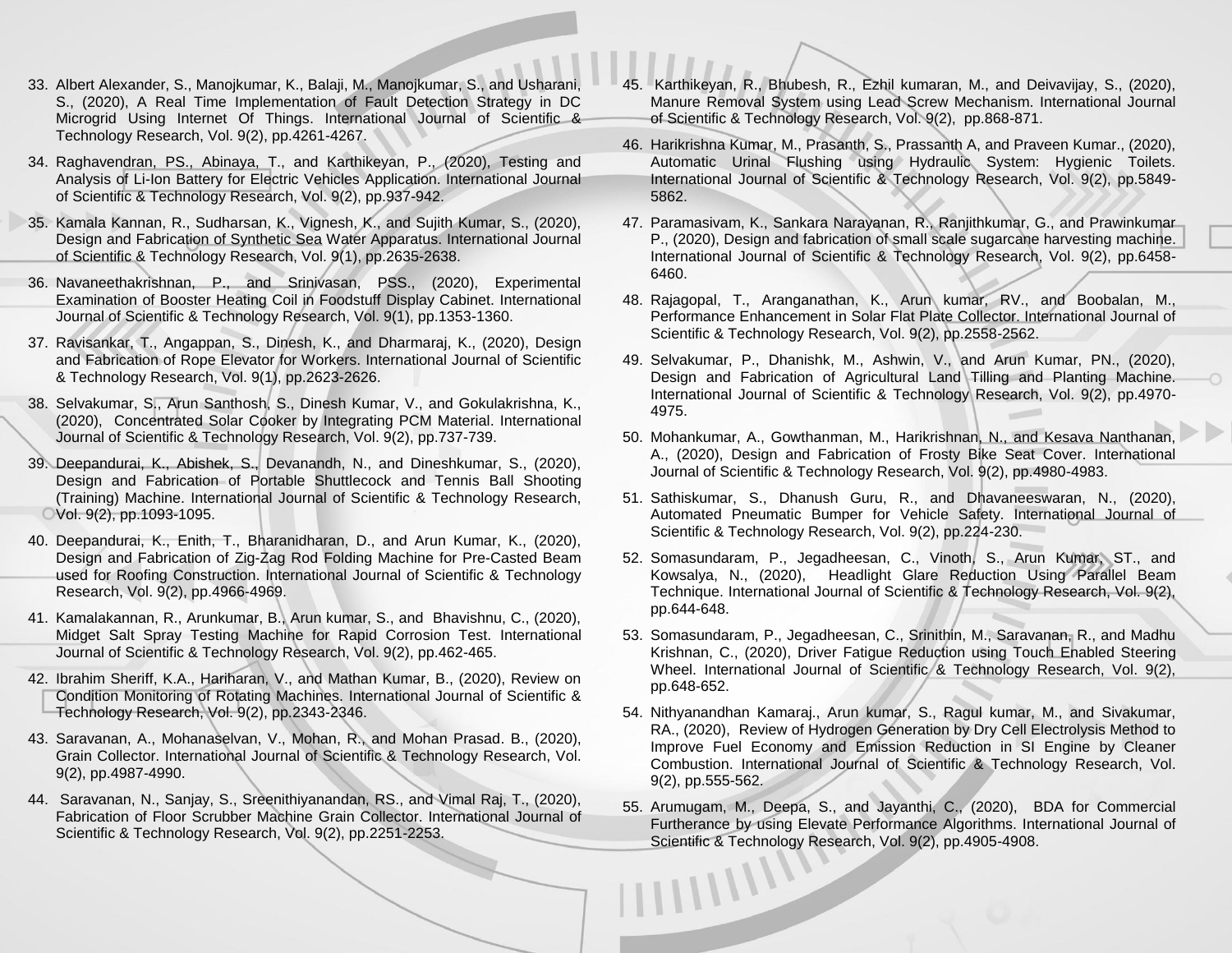- 33. Albert Alexander, S., Manojkumar, K., Balaji, M., Manojkumar, S., and Usharani, S., (2020), A Real Time Implementation of Fault Detection Strategy in DC Microgrid Using Internet Of Things. International Journal of Scientific & Technology Research, Vol. 9(2), pp.4261-4267.
- 34. Raghavendran, PS., Abinaya, T., and Karthikeyan, P., (2020), Testing and Analysis of Li-Ion Battery for Electric Vehicles Application. International Journal of Scientific & Technology Research, Vol. 9(2), pp.937-942.
- 35. Kamala Kannan, R., Sudharsan, K., Vignesh, K., and Sujith Kumar, S., (2020), Design and Fabrication of Synthetic Sea Water Apparatus. International Journal of Scientific & Technology Research, Vol. 9(1), pp.2635-2638.
- 36. Navaneethakrishnan, P., and Srinivasan, PSS., (2020), Experimental Examination of Booster Heating Coil in Foodstuff Display Cabinet. International Journal of Scientific & Technology Research, Vol. 9(1), pp.1353-1360.
- 37. Ravisankar, T., Angappan, S., Dinesh, K., and Dharmaraj, K., (2020), Design and Fabrication of Rope Elevator for Workers. International Journal of Scientific & Technology Research, Vol. 9(1), pp.2623-2626.
- 38. Selvakumar, S., Arun Santhosh, S., Dinesh Kumar, V., and Gokulakrishna, K., (2020), Concentrated Solar Cooker by Integrating PCM Material. International Journal of Scientific & Technology Research, Vol. 9(2), pp.737-739.
- 39. Deepandurai, K., Abishek, S., Devanandh, N., and Dineshkumar, S., (2020), Design and Fabrication of Portable Shuttlecock and Tennis Ball Shooting (Training) Machine. International Journal of Scientific & Technology Research, Vol. 9(2), pp.1093-1095.
- 40. Deepandurai, K., Enith, T., Bharanidharan, D., and Arun Kumar, K., (2020), Design and Fabrication of Zig-Zag Rod Folding Machine for Pre-Casted Beam used for Roofing Construction. International Journal of Scientific & Technology Research, Vol. 9(2), pp.4966-4969.
- 41. Kamalakannan, R., Arunkumar, B., Arun kumar, S., and Bhavishnu, C., (2020), Midget Salt Spray Testing Machine for Rapid Corrosion Test. International Journal of Scientific & Technology Research, Vol. 9(2), pp.462-465.
- 42. Ibrahim Sheriff, K.A., Hariharan, V., and Mathan Kumar, B., (2020), Review on Condition Monitoring of Rotating Machines. International Journal of Scientific & Technology Research, Vol. 9(2), pp.2343-2346.
- 43. Saravanan, A., Mohanaselvan, V., Mohan, R., and Mohan Prasa[d. B., \(2020\),](http://www.ijstr.org/final-print/feb2020/Grain-Collector.pdf)  Grain Collector. International [Journal of Scientific & Technology Research, Vol.](http://www.ijstr.org/final-print/feb2020/Grain-Collector.pdf)  [9\(2\), pp.4987-4990.](http://www.ijstr.org/final-print/feb2020/Grain-Collector.pdf)
- 44. Saravanan, N., Sanjay, S., Sreenithiyanandan, RS., and Vimal Raj, T., (2020), Fabrication of Floor Scrubber Machine [Grain Collector. International Journal of](http://www.ijstr.org/final-print/feb2020/Grain-Collector.pdf)  [Scientific & Technology Research, Vol. 9\(2\), pp.2251-2253.](http://www.ijstr.org/final-print/feb2020/Grain-Collector.pdf)
- 45. Karthikeyan, R., Bhubesh, R., Ezhil kumaran, M., and Deivavijay, S., (2020), Manure Removal System using Lead Screw Mechanism. International Journal of Scientific & Technology Research, Vol. 9(2), pp.868-871.
- 46. Harikrishna Kumar, M., Prasanth, S., Prassanth A, and Praveen Kumar., (2020), Automatic Urinal Flushing using Hydraulic System: Hygienic Toilets. International Journal of Scientific & Technology Research, Vol. 9(2), pp.5849- 5862.
- 47. Paramasivam, K., Sankara Narayanan, R., Ranjithkumar, G., and Prawinkumar P., (2020), Design and fabrication of small scale sugarcane harvesting machine. International Journal of Scientific & Technology Research, Vol. 9(2), pp.6458- 6460.
- 48. Rajagopal, T., Aranganathan, K., Arun kumar, RV., and Boobalan, M., Performance Enhancement in Solar Flat Plate Collector. International Journal of Scientific & Technology Research, Vol. 9(2), pp.2558-2562.
- 49. Selvakumar, P., Dhanishk, M., Ashwin, V., and Arun Kumar, PN., (2020), Design and Fabrication of Agricultural Land Tilling and Planting Machine. International Journal of Scientific & Technology Research, Vol. 9(2), pp.4970- 4975.
- 50. Mohankumar, A., Gowthanman, M., Harikrishnan, N., and Kesava Nanthanan, A., (2020), Design and Fabrication of Frosty Bike Seat Cover. International Journal of Scientific & Technology Research, Vol. 9(2), pp.4980-4983.
- 51. Sathiskumar, S., Dhanush Guru, R., and Dhavaneeswaran, N., (2020), Automated Pneumatic Bumper for Vehicle Safety. International Journal of Scientific & Technology Research, Vol. 9(2), pp.224-230.
- 52. Somasundaram, P., Jegadheesan, C., Vinoth, S., Arun Kumar, ST., and Kowsalya, N., (2020), Headlight Glare Reduction Using Parallel Beam Technique. International Journal of Scientific & Technology Research, Vol. 9(2), pp.644-648.
- 53. Somasundaram, P., Jegadheesan, C., Srinithin, M., Saravanan, R., and Madhu Krishnan, C., (2020), Driver Fatigue Reduction using Touch Enabled Steering Wheel. International Journal of Scientific & Technology Research, Vol. 9(2), pp.648-652.
- 54. Nithyanandhan Kamaraj., Arun kumar, S., Ragul kumar, M., and Sivakumar, RA., (2020), Review of Hydrogen Generation by Dry Cell Electrolysis Method to Improve Fuel Economy and Emission Reduction in SI Engine by Cleaner Combustion. International Journal of Scientific & Technology Research, Vol. 9(2), pp.555-562.
- 55. Arumugam, M., Deepa, S., and Jayanthi, C., (2020), BDA for Commercial Furtherance by using Elevate Performance Algorithms. International Journal of Scientific & Technology Research, Vol. 9(2), pp.4905-4908.<br>
The contract of the contract of the contract of the contract of the contract of the contract of the contract of the contract of the contract of the contract of th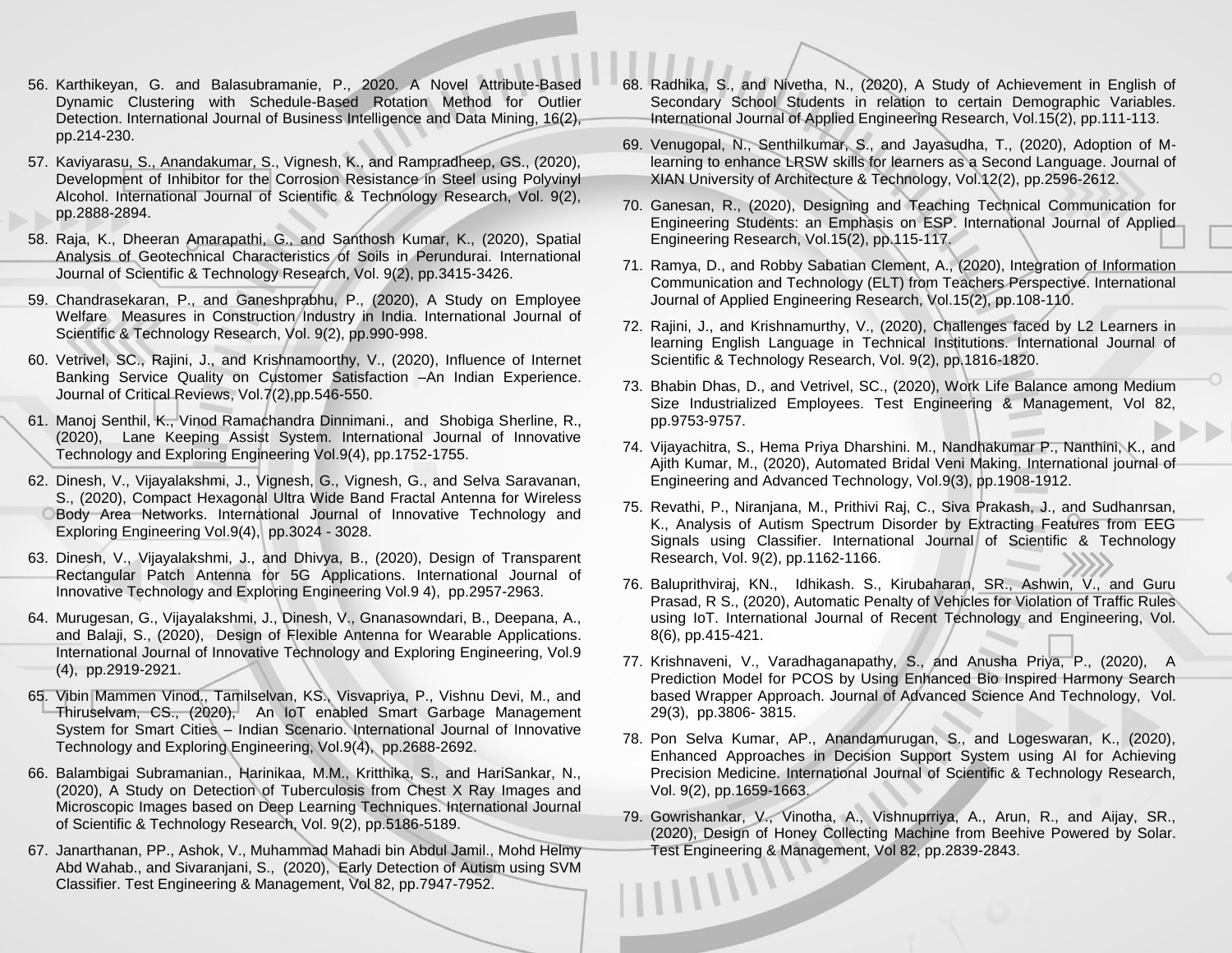- 56. Karthikeyan, G. and Balasubramanie, P., 2020. A Novel Attribute-Based Dynamic Clustering with Schedule-Based Rotation Method for Outlier Detection. International Journal of Business Intelligence and Data Mining, 16(2), pp.214-230.
- 57. Kaviyarasu, S., Anandakumar, S., Vignesh, K., and Rampradheep, GS., (2020), Development of Inhibitor for the Corrosion Resistance in Steel using Polyvinyl Alcohol. International Journal of Scientific & Technology Research, Vol. 9(2), pp.2888-2894.
- 58. Raja, K., Dheeran Amarapathi, G., and Santhosh Kumar, K., (2020), Spatial Analysis of Geotechnical Characteristics of Soils in Perundurai. International Journal of Scientific & Technology Research, Vol. 9(2), pp.3415-3426.
- 59. Chandrasekaran, P., and Ganeshprabhu, P., (2020), A Study on Employee Welfare Measures in Construction Industry in India. International Journal of Scientific & Technology Research, Vol. 9(2), pp.990-998.
- 60. Vetrivel, SC., Rajini, J., and Krishnamoorthy, V., (2020), Influence of Internet Banking Service Quality on Customer Satisfaction –An Indian Experience. Journal of Critical Reviews, Vol.7(2),pp.546-550.
- 61. Manoj Senthil, K., Vinod Ramachandra Dinnimani., and Shobiga Sherline, R., (2020), Lane Keeping Assist System. International Journal of Innovative Technology and Exploring Engineering Vol.9(4), pp.1752-1755.
- 62. Dinesh, V., Vijayalakshmi, J., Vignesh, G., Vignesh, G., and Selva Saravanan, S., (2020), Compact Hexagonal Ultra Wide Band Fractal Antenna for Wireless Body Area Networks. International Journal of Innovative Technology and Exploring Engineering Vol.9(4), pp.3024 - 3028.
- 63. Dinesh, V., Vijayalakshmi, J., and Dhivya, B., (2020), Design of Transparent Rectangular Patch Antenna for 5G Applications. International Journal of Innovative Technology and Exploring Engineering Vol.9 4), pp.2957-2963.
- 64. Murugesan, G., Vijayalakshmi, J., Dinesh, V., Gnanasowndari, B., Deepana, A., and Balaji, S., (2020), Design of Flexible Antenna for Wearable Applications. International Journal of Innovative Technology and Exploring Engineering, Vol.9 (4), pp.2919-2921.
- 65. Vibin Mammen Vinod., Tamilselvan, KS., Visvapriya, P., Vishnu Devi, M., and Thiruselvam, CS., (2020), An IoT enabled Smart Garbage Management System for Smart Cities – Indian Scenario. International Journal of Innovative Technology and Exploring Engineering, Vol.9(4), pp.2688-2692.
- 66. Balambigai Subramanian., Harinikaa, M.M., Kritthika, S., and HariSankar, N., (2020), A Study on Detection of Tuberculosis from Chest X Ray Images and Microscopic Images based on Deep Learning Techniques. International Journal of Scientific & Technology Research, Vol. 9(2), pp.5186-5189.
- 67. Janarthanan, PP., Ashok, V., Muhammad Mahadi bin Abdul Jamil., Mohd Helmy Abd Wahab., and Sivaranjani, S., (2020), Early Detection of Autism using SVM Classifier. Test Engineering & Management, Vol 82, pp.7947-7952.
- 68. Radhika, S., and Nivetha, N., (2020), A Study of Achievement in English of Secondary School Students in relation to certain Demographic Variables. International Journal of Applied Engineering Research, Vol.15(2), pp.111-113.
- 69. Venugopal, N., Senthilkumar, S., and Jayasudha, T., (2020), Adoption of Mlearning to enhance LRSW skills for learners as a Second Language. Journal of XIAN University of Architecture & Technology, Vol.12(2), pp.2596-2612.
- 70. Ganesan, R., (2020), Designing and Teaching Technical Communication for Engineering Students: an Emphasis on ESP. International Journal of Applied Engineering Research, Vol.15(2), pp.115-117.
- 71. Ramya, D., and Robby Sabatian Clement, A., (2020), Integration of Information Communication and Technology (ELT) from Teachers Perspective. International Journal of Applied Engineering Research, Vol.15(2), pp.108-110.
- 72. Rajini, J., and Krishnamurthy, V., (2020), Challenges faced by L2 Learners in learning English Language in Technical Institutions. International Journal of Scientific & Technology Research, Vol. 9(2), pp.1816-1820.
- 73. Bhabin Dhas, D., and Vetrivel, SC., (2020), Work Life Balance among Medium Size Industrialized Employees. Test Engineering & Management, Vol 82, pp.9753-9757.
- 74. Vijayachitra, S., Hema Priya Dharshini. M., Nandhakumar P., Nanthini, K., and Ajith Kumar, M., (2020), Automated Bridal Veni Making. International journal of Engineering and Advanced Technology, Vol.9(3), pp.1908-1912.
- 75. Revathi, P., Niranjana, M., Prithivi Raj, C., Siva Prakash, J., and Sudhanrsan, K., Analysis of Autism Spectrum Disorder by Extracting Features from EEG Signals using Classifier. International Journal of Scientific & Technology Research, Vol. 9(2), pp.1162-1166.
- 76. Baluprithviraj, KN., Idhikash. S., Kirubaharan, SR., Ashwin, V., and Guru Prasad, R S., (2020), Automatic Penalty of Vehicles for Violation of Traffic Rules using IoT. International Journal of Recent Technology and Engineering, Vol. 8(6), pp.415-421.
- 77. Krishnaveni, V., Varadhaganapathy, S., and Anusha Priya, P., (2020), A Prediction Model for PCOS by Using Enhanced Bio Inspired Harmony Search based Wrapper Approach. Journal of Advanced Science And Technology, [Vol.](http://sersc.org/journals/index.php/IJAST/issue/view/261)  [29\(3\), pp.3806-](http://sersc.org/journals/index.php/IJAST/issue/view/261) 3815.
- 78. Pon Selva Kumar, AP., Anandamurugan, S., and Logeswaran, K., (2020), Enhanced Approaches in Decision Support System using AI for Achieving Precision Medicine. International Journal of Scientific & Technology Research, Vol. 9(2), pp.1659-1663.
- 79. Gowrishankar, V., Vinotha, A., Vishnuprriya, A., Arun, R., and Aijay, SR., (2020), Design of Honey Collecting Machine from Beehive Powered by Solar. Test Engineering & Management, Vol 82, pp.2839-2843. $11111$